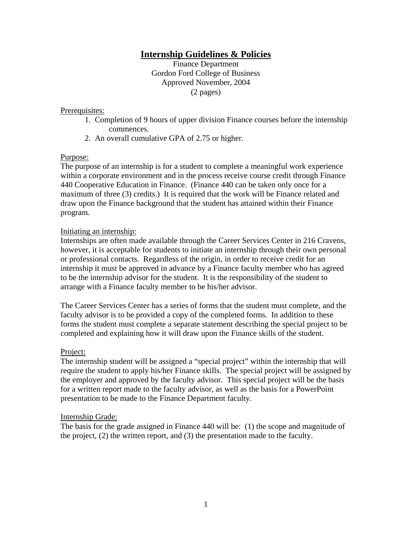# **Internship Guidelines & Policies**

Finance Department Gordon Ford College of Business Approved November, 2004 (2 pages)

#### Prerequisites:

- 1. Completion of 9 hours of upper division Finance courses before the internship commences.
- 2. An overall cumulative GPA of 2.75 or higher.

## Purpose:

The purpose of an internship is for a student to complete a meaningful work experience within a corporate environment and in the process receive course credit through Finance 440 Cooperative Education in Finance. (Finance 440 can be taken only once for a maximum of three (3) credits.) It is required that the work will be Finance related and draw upon the Finance background that the student has attained within their Finance program.

## Initiating an internship:

Internships are often made available through the Career Services Center in 216 Cravens, however, it is acceptable for students to initiate an internship through their own personal or professional contacts. Regardless of the origin, in order to receive credit for an internship it must be approved in advance by a Finance faculty member who has agreed to be the internship advisor for the student. It is the responsibility of the student to arrange with a Finance faculty member to be his/her advisor.

The Career Services Center has a series of forms that the student must complete, and the faculty advisor is to be provided a copy of the completed forms. In addition to these forms the student must complete a separate statement describing the special project to be completed and explaining how it will draw upon the Finance skills of the student.

## Project:

The internship student will be assigned a "special project" within the internship that will require the student to apply his/her Finance skills. The special project will be assigned by the employer and approved by the faculty advisor. This special project will be the basis for a written report made to the faculty advisor, as well as the basis for a PowerPoint presentation to be made to the Finance Department faculty.

#### Internship Grade:

The basis for the grade assigned in Finance 440 will be: (1) the scope and magnitude of the project, (2) the written report, and (3) the presentation made to the faculty.